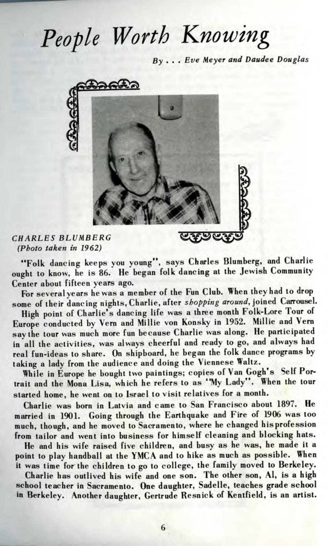## *People Worth Knowing*

By ... *Eve Meyer and Daudee Douglas*



## *CHARLESBLUMBERG (Photo taken in 1962)*

\*\*Folk dancing keeps you young", says Charles Blumberg, and Charlie weht to know, he is 86. He began folk dancing at the Jewish Community Center about fifteen years ago.

For several years he was a member of the Fun Club. When they had to drop some of their dancing nights, Charlie, after *shopping around*, joined Carrousel.

High point of Charlie's dancing life was a three month Folk-Lore Tour of Europe conducted by Vern and Millie von Konsky in 1952. Millie and Vern say the tour was much more fun because Charlie was along. He participated in all the activities, was always cheerful and ready to go, and always had real fun-ideas to share. On shipboard, he began the folk dance programs by taking a lady from the audience and doing the Viennese Waltz.

While in Europe he bought two paintings; copies of Van Gogh's Self Portrait and the Mona Lisa, which he refers to as "My Lady". When the tour started home, he went on to Israel to visit relatives for a month.

Charlie was born in Latvia and came to San Francisco about 1897. He married in 1901. Going through the Earthquake and Fire of 1906 was too much, though, and he moved to Sacramento, where he changed his profession from tailor and went into business for himself cleaning and blocking hats.

He and his wife raised five children, and busy as he was, he made it a point to play handball at the YMCA and to hike as much as possible. When it was time for the children to go to college, the family moved to Berkeley.

Charlie has outlived his wife and one son. The other son, Al, is a high school teacher in Sacramento. One daughter, Sadelle, teaches grade school in Berkeley. Another daughter, Gertrude Resnick of Kentfield, is an artist.